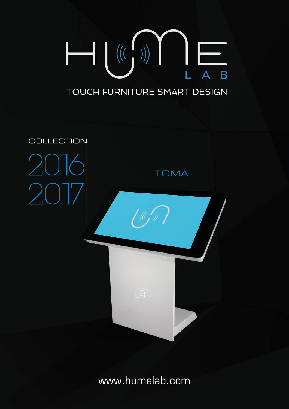

# TOUCH FURNITURE SMART DESIGN



www.humelab.com